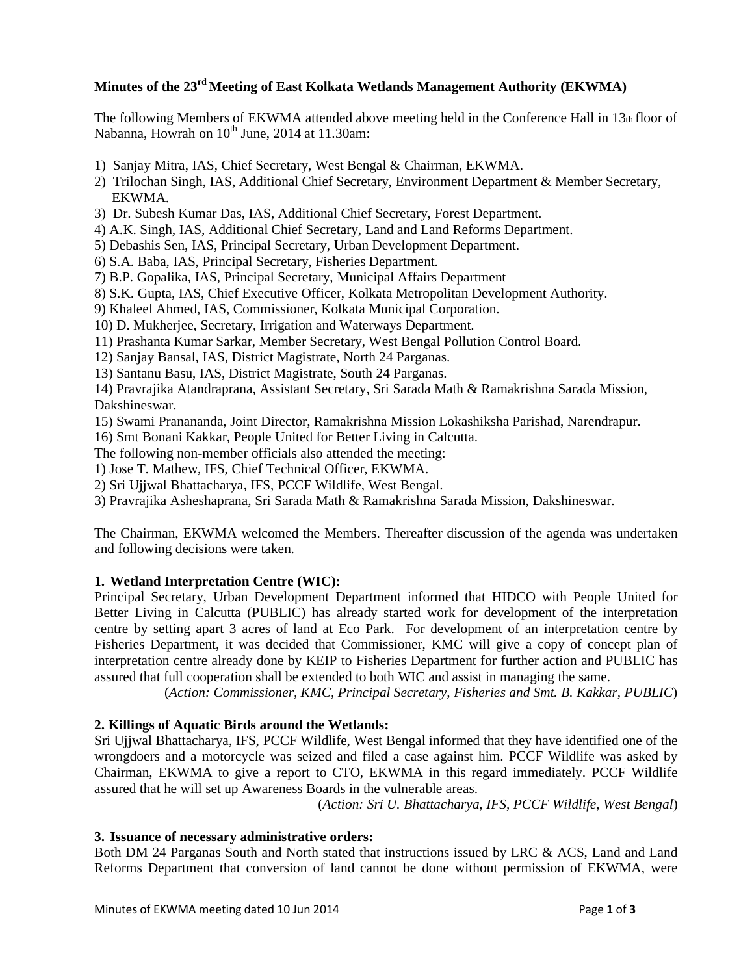# **Minutes of the 23rd Meeting of East Kolkata Wetlands Management Authority (EKWMA)**

The following Members of EKWMA attended above meeting held in the Conference Hall in 13th floor of Nabanna, Howrah on  $10^{th}$  June, 2014 at 11.30am:

- 1) Sanjay Mitra, IAS, Chief Secretary, West Bengal & Chairman, EKWMA.
- 2) Trilochan Singh, IAS, Additional Chief Secretary, Environment Department & Member Secretary, EKWMA.
- 3) Dr. Subesh Kumar Das, IAS, Additional Chief Secretary, Forest Department.
- 4) A.K. Singh, IAS, Additional Chief Secretary, Land and Land Reforms Department.
- 5) Debashis Sen, IAS, Principal Secretary, Urban Development Department.
- 6) S.A. Baba, IAS, Principal Secretary, Fisheries Department.
- 7) B.P. Gopalika, IAS, Principal Secretary, Municipal Affairs Department
- 8) S.K. Gupta, IAS, Chief Executive Officer, Kolkata Metropolitan Development Authority.
- 9) Khaleel Ahmed, IAS, Commissioner, Kolkata Municipal Corporation.
- 10) D. Mukherjee, Secretary, Irrigation and Waterways Department.
- 11) Prashanta Kumar Sarkar, Member Secretary, West Bengal Pollution Control Board.
- 12) Sanjay Bansal, IAS, District Magistrate, North 24 Parganas.
- 13) Santanu Basu, IAS, District Magistrate, South 24 Parganas.

14) Pravrajika Atandraprana, Assistant Secretary, Sri Sarada Math & Ramakrishna Sarada Mission, Dakshineswar.

- 15) Swami Pranananda, Joint Director, Ramakrishna Mission Lokashiksha Parishad, Narendrapur.
- 16) Smt Bonani Kakkar, People United for Better Living in Calcutta.

The following non-member officials also attended the meeting:

1) Jose T. Mathew, IFS, Chief Technical Officer, EKWMA.

- 2) Sri Ujjwal Bhattacharya, IFS, PCCF Wildlife, West Bengal.
- 3) Pravrajika Asheshaprana, Sri Sarada Math & Ramakrishna Sarada Mission, Dakshineswar.

The Chairman, EKWMA welcomed the Members. Thereafter discussion of the agenda was undertaken and following decisions were taken.

## **1. Wetland Interpretation Centre (WIC):**

Principal Secretary, Urban Development Department informed that HIDCO with People United for Better Living in Calcutta (PUBLIC) has already started work for development of the interpretation centre by setting apart 3 acres of land at Eco Park. For development of an interpretation centre by Fisheries Department, it was decided that Commissioner, KMC will give a copy of concept plan of interpretation centre already done by KEIP to Fisheries Department for further action and PUBLIC has assured that full cooperation shall be extended to both WIC and assist in managing the same.

(*Action: Commissioner, KMC, Principal Secretary, Fisheries and Smt. B. Kakkar, PUBLIC*)

## **2. Killings of Aquatic Birds around the Wetlands:**

Sri Ujjwal Bhattacharya, IFS, PCCF Wildlife, West Bengal informed that they have identified one of the wrongdoers and a motorcycle was seized and filed a case against him. PCCF Wildlife was asked by Chairman, EKWMA to give a report to CTO, EKWMA in this regard immediately. PCCF Wildlife assured that he will set up Awareness Boards in the vulnerable areas.

(*Action: Sri U. Bhattacharya, IFS, PCCF Wildlife, West Bengal*)

### **3. Issuance of necessary administrative orders:**

Both DM 24 Parganas South and North stated that instructions issued by LRC & ACS, Land and Land Reforms Department that conversion of land cannot be done without permission of EKWMA, were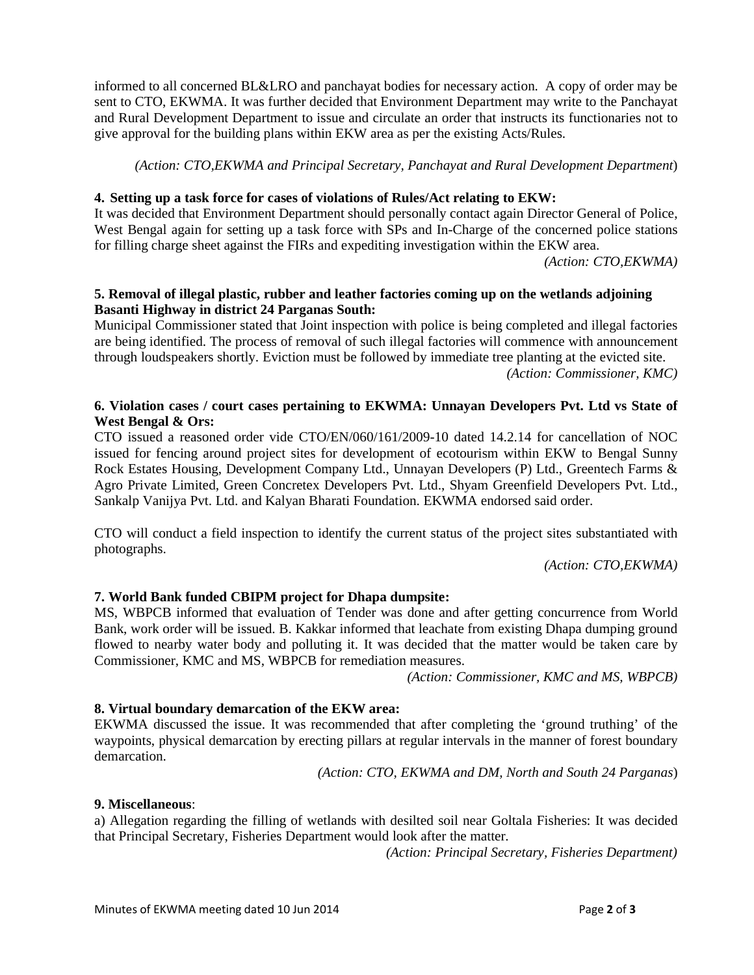informed to all concerned BL&LRO and panchayat bodies for necessary action. A copy of order may be sent to CTO, EKWMA. It was further decided that Environment Department may write to the Panchayat and Rural Development Department to issue and circulate an order that instructs its functionaries not to give approval for the building plans within EKW area as per the existing Acts/Rules.

*(Action: CTO,EKWMA and Principal Secretary, Panchayat and Rural Development Department*)

### **4. Setting up a task force for cases of violations of Rules/Act relating to EKW:**

It was decided that Environment Department should personally contact again Director General of Police, West Bengal again for setting up a task force with SPs and In-Charge of the concerned police stations for filling charge sheet against the FIRs and expediting investigation within the EKW area.

*(Action: CTO,EKWMA)*

### **5. Removal of illegal plastic, rubber and leather factories coming up on the wetlands adjoining Basanti Highway in district 24 Parganas South:**

Municipal Commissioner stated that Joint inspection with police is being completed and illegal factories are being identified. The process of removal of such illegal factories will commence with announcement through loudspeakers shortly. Eviction must be followed by immediate tree planting at the evicted site.

*(Action: Commissioner, KMC)*

## **6. Violation cases / court cases pertaining to EKWMA: Unnayan Developers Pvt. Ltd vs State of West Bengal & Ors:**

CTO issued a reasoned order vide CTO/EN/060/161/2009-10 dated 14.2.14 for cancellation of NOC issued for fencing around project sites for development of ecotourism within EKW to Bengal Sunny Rock Estates Housing, Development Company Ltd., Unnayan Developers (P) Ltd., Greentech Farms & Agro Private Limited, Green Concretex Developers Pvt. Ltd., Shyam Greenfield Developers Pvt. Ltd., Sankalp Vanijya Pvt. Ltd. and Kalyan Bharati Foundation. EKWMA endorsed said order.

CTO will conduct a field inspection to identify the current status of the project sites substantiated with photographs.

*(Action: CTO,EKWMA)*

## **7. World Bank funded CBIPM project for Dhapa dumpsite:**

MS, WBPCB informed that evaluation of Tender was done and after getting concurrence from World Bank, work order will be issued. B. Kakkar informed that leachate from existing Dhapa dumping ground flowed to nearby water body and polluting it. It was decided that the matter would be taken care by Commissioner, KMC and MS, WBPCB for remediation measures.

 *(Action: Commissioner, KMC and MS, WBPCB)*

### **8. Virtual boundary demarcation of the EKW area:**

EKWMA discussed the issue. It was recommended that after completing the 'ground truthing' of the waypoints, physical demarcation by erecting pillars at regular intervals in the manner of forest boundary demarcation.

 *(Action: CTO, EKWMA and DM, North and South 24 Parganas*)

### **9. Miscellaneous**:

a) Allegation regarding the filling of wetlands with desilted soil near Goltala Fisheries: It was decided that Principal Secretary, Fisheries Department would look after the matter.

 *(Action: Principal Secretary, Fisheries Department)*